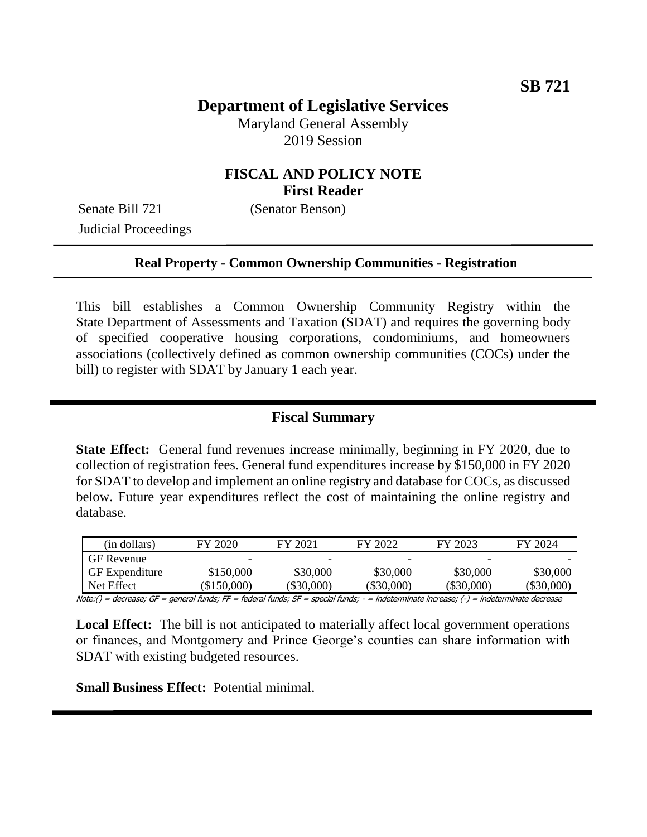# **Department of Legislative Services**

Maryland General Assembly 2019 Session

#### **FISCAL AND POLICY NOTE First Reader**

Senate Bill 721 (Senator Benson) Judicial Proceedings

#### **Real Property - Common Ownership Communities - Registration**

This bill establishes a Common Ownership Community Registry within the State Department of Assessments and Taxation (SDAT) and requires the governing body of specified cooperative housing corporations, condominiums, and homeowners associations (collectively defined as common ownership communities (COCs) under the bill) to register with SDAT by January 1 each year.

#### **Fiscal Summary**

**State Effect:** General fund revenues increase minimally, beginning in FY 2020, due to collection of registration fees. General fund expenditures increase by \$150,000 in FY 2020 for SDAT to develop and implement an online registry and database for COCs, as discussed below. Future year expenditures reflect the cost of maintaining the online registry and database.

| (in dollars)          | FY 2020     | FY 2021      | FY 2022      | FY 2023      | FY 2024      |
|-----------------------|-------------|--------------|--------------|--------------|--------------|
| <b>GF</b> Revenue     |             |              |              |              |              |
| <b>GF</b> Expenditure | \$150,000   | \$30,000     | \$30,000     | \$30,000     | \$30,000     |
| Net Effect            | $\$150,000$ | $(\$30,000)$ | $(\$30,000)$ | $(\$30,000)$ | $(\$30,000)$ |

Note:() = decrease; GF = general funds; FF = federal funds; SF = special funds; - = indeterminate increase; (-) = indeterminate decrease

**Local Effect:** The bill is not anticipated to materially affect local government operations or finances, and Montgomery and Prince George's counties can share information with SDAT with existing budgeted resources.

**Small Business Effect:** Potential minimal.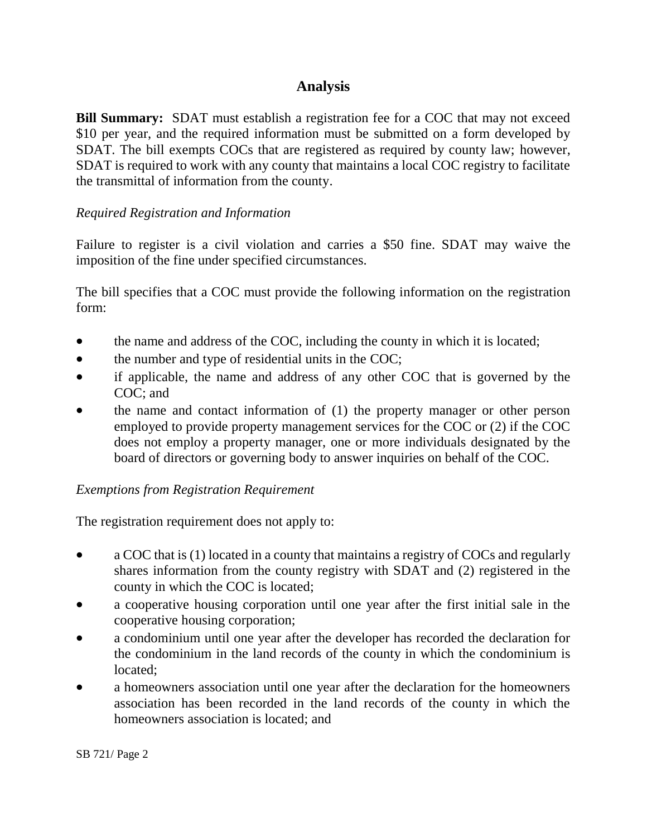## **Analysis**

**Bill Summary:** SDAT must establish a registration fee for a COC that may not exceed \$10 per year, and the required information must be submitted on a form developed by SDAT. The bill exempts COCs that are registered as required by county law; however, SDAT is required to work with any county that maintains a local COC registry to facilitate the transmittal of information from the county.

#### *Required Registration and Information*

Failure to register is a civil violation and carries a \$50 fine. SDAT may waive the imposition of the fine under specified circumstances.

The bill specifies that a COC must provide the following information on the registration form:

- the name and address of the COC, including the county in which it is located;
- the number and type of residential units in the COC;
- if applicable, the name and address of any other COC that is governed by the COC; and
- the name and contact information of (1) the property manager or other person employed to provide property management services for the COC or (2) if the COC does not employ a property manager, one or more individuals designated by the board of directors or governing body to answer inquiries on behalf of the COC.

#### *Exemptions from Registration Requirement*

The registration requirement does not apply to:

- a COC that is (1) located in a county that maintains a registry of COCs and regularly shares information from the county registry with SDAT and (2) registered in the county in which the COC is located;
- a cooperative housing corporation until one year after the first initial sale in the cooperative housing corporation;
- a condominium until one year after the developer has recorded the declaration for the condominium in the land records of the county in which the condominium is located;
- a homeowners association until one year after the declaration for the homeowners association has been recorded in the land records of the county in which the homeowners association is located; and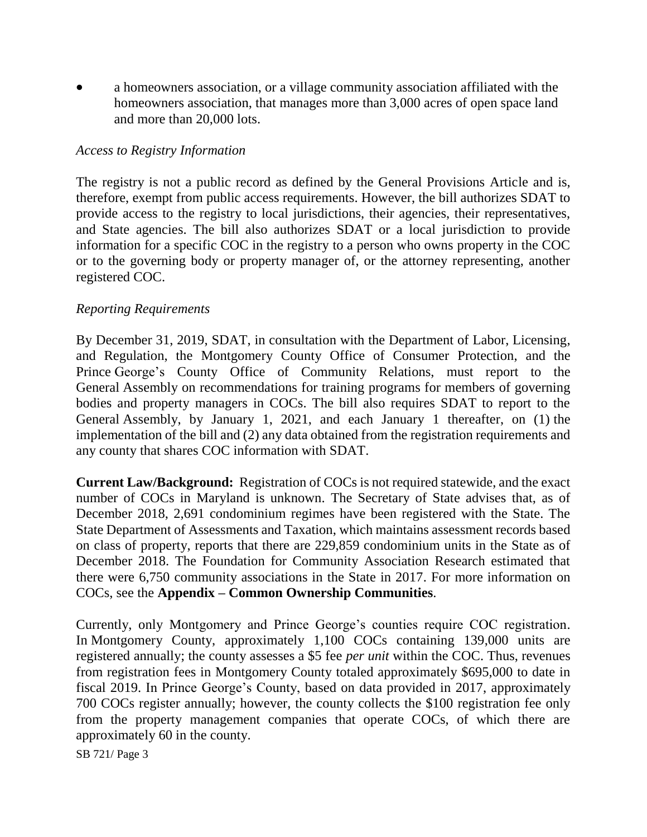a homeowners association, or a village community association affiliated with the homeowners association, that manages more than 3,000 acres of open space land and more than 20,000 lots.

#### *Access to Registry Information*

The registry is not a public record as defined by the General Provisions Article and is, therefore, exempt from public access requirements. However, the bill authorizes SDAT to provide access to the registry to local jurisdictions, their agencies, their representatives, and State agencies. The bill also authorizes SDAT or a local jurisdiction to provide information for a specific COC in the registry to a person who owns property in the COC or to the governing body or property manager of, or the attorney representing, another registered COC.

#### *Reporting Requirements*

By December 31, 2019, SDAT, in consultation with the Department of Labor, Licensing, and Regulation, the Montgomery County Office of Consumer Protection, and the Prince George's County Office of Community Relations, must report to the General Assembly on recommendations for training programs for members of governing bodies and property managers in COCs. The bill also requires SDAT to report to the General Assembly, by January 1, 2021, and each January 1 thereafter, on (1) the implementation of the bill and (2) any data obtained from the registration requirements and any county that shares COC information with SDAT.

**Current Law/Background:** Registration of COCs is not required statewide, and the exact number of COCs in Maryland is unknown. The Secretary of State advises that, as of December 2018, 2,691 condominium regimes have been registered with the State. The State Department of Assessments and Taxation, which maintains assessment records based on class of property, reports that there are 229,859 condominium units in the State as of December 2018. The Foundation for Community Association Research estimated that there were 6,750 community associations in the State in 2017. For more information on COCs, see the **Appendix – Common Ownership Communities**.

Currently, only Montgomery and Prince George's counties require COC registration. In Montgomery County, approximately 1,100 COCs containing 139,000 units are registered annually; the county assesses a \$5 fee *per unit* within the COC. Thus, revenues from registration fees in Montgomery County totaled approximately \$695,000 to date in fiscal 2019. In Prince George's County, based on data provided in 2017, approximately 700 COCs register annually; however, the county collects the \$100 registration fee only from the property management companies that operate COCs, of which there are approximately 60 in the county.

SB 721/ Page 3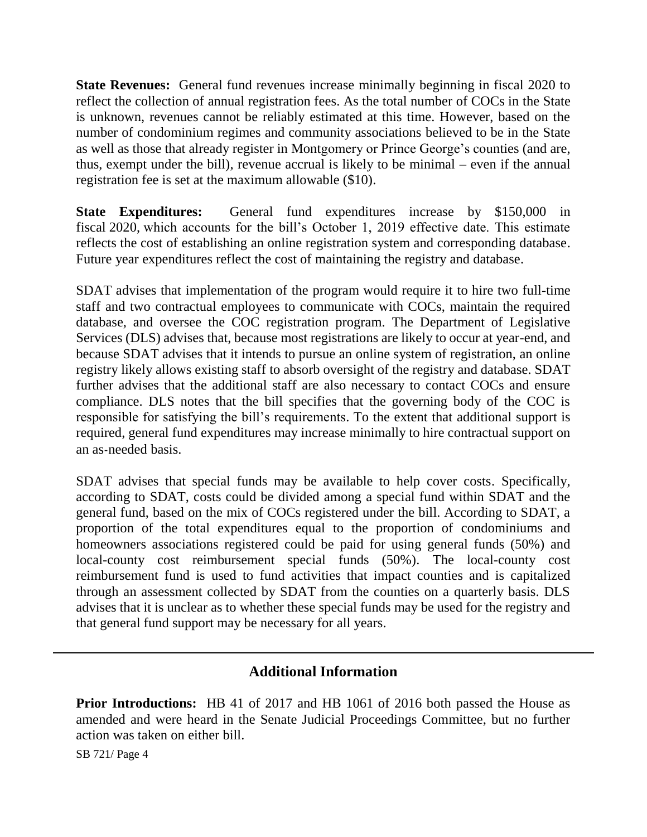**State Revenues:** General fund revenues increase minimally beginning in fiscal 2020 to reflect the collection of annual registration fees. As the total number of COCs in the State is unknown, revenues cannot be reliably estimated at this time. However, based on the number of condominium regimes and community associations believed to be in the State as well as those that already register in Montgomery or Prince George's counties (and are, thus, exempt under the bill), revenue accrual is likely to be minimal – even if the annual registration fee is set at the maximum allowable (\$10).

**State Expenditures:** General fund expenditures increase by \$150,000 in fiscal 2020, which accounts for the bill's October 1, 2019 effective date. This estimate reflects the cost of establishing an online registration system and corresponding database. Future year expenditures reflect the cost of maintaining the registry and database.

SDAT advises that implementation of the program would require it to hire two full-time staff and two contractual employees to communicate with COCs, maintain the required database, and oversee the COC registration program. The Department of Legislative Services (DLS) advises that, because most registrations are likely to occur at year-end, and because SDAT advises that it intends to pursue an online system of registration, an online registry likely allows existing staff to absorb oversight of the registry and database. SDAT further advises that the additional staff are also necessary to contact COCs and ensure compliance. DLS notes that the bill specifies that the governing body of the COC is responsible for satisfying the bill's requirements. To the extent that additional support is required, general fund expenditures may increase minimally to hire contractual support on an as-needed basis.

SDAT advises that special funds may be available to help cover costs. Specifically, according to SDAT, costs could be divided among a special fund within SDAT and the general fund, based on the mix of COCs registered under the bill. According to SDAT, a proportion of the total expenditures equal to the proportion of condominiums and homeowners associations registered could be paid for using general funds (50%) and local-county cost reimbursement special funds (50%). The local-county cost reimbursement fund is used to fund activities that impact counties and is capitalized through an assessment collected by SDAT from the counties on a quarterly basis. DLS advises that it is unclear as to whether these special funds may be used for the registry and that general fund support may be necessary for all years.

### **Additional Information**

**Prior Introductions:** HB 41 of 2017 and HB 1061 of 2016 both passed the House as amended and were heard in the Senate Judicial Proceedings Committee, but no further action was taken on either bill.

SB 721/ Page 4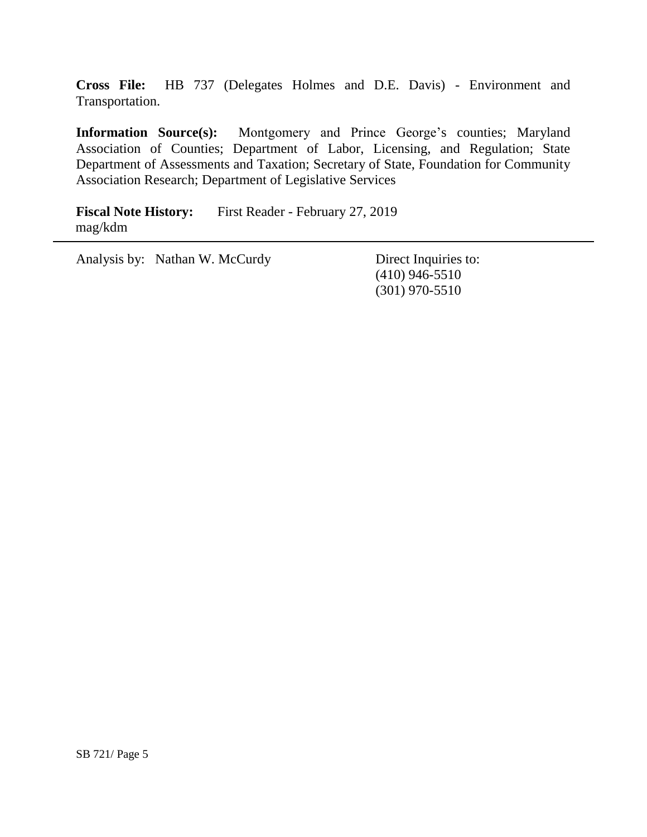**Cross File:** HB 737 (Delegates Holmes and D.E. Davis) - Environment and Transportation.

**Information Source(s):** Montgomery and Prince George's counties; Maryland Association of Counties; Department of Labor, Licensing, and Regulation; State Department of Assessments and Taxation; Secretary of State, Foundation for Community Association Research; Department of Legislative Services

**Fiscal Note History:** First Reader - February 27, 2019 mag/kdm

Analysis by: Nathan W. McCurdy Direct Inquiries to:

(410) 946-5510 (301) 970-5510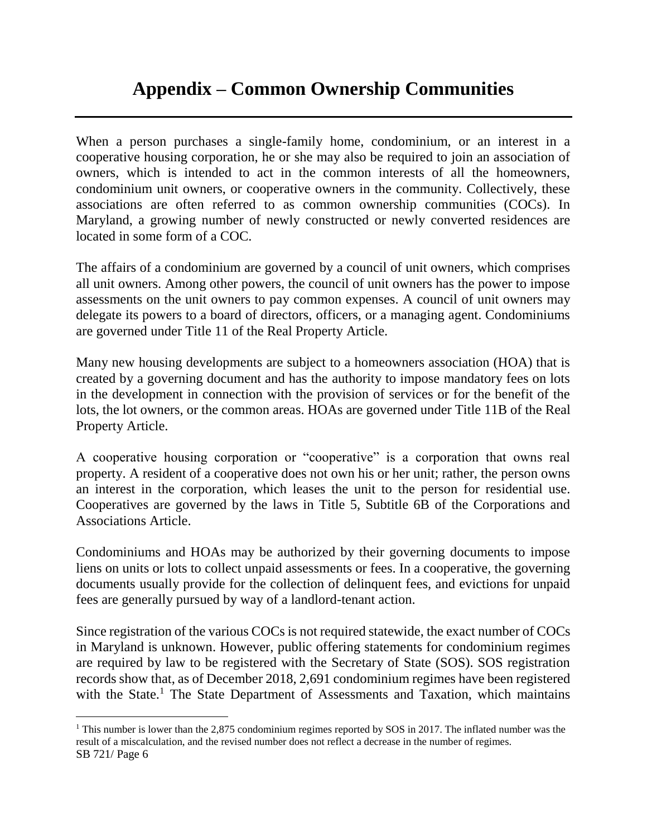# **Appendix – Common Ownership Communities**

When a person purchases a single-family home, condominium, or an interest in a cooperative housing corporation, he or she may also be required to join an association of owners, which is intended to act in the common interests of all the homeowners, condominium unit owners, or cooperative owners in the community. Collectively, these associations are often referred to as common ownership communities (COCs). In Maryland, a growing number of newly constructed or newly converted residences are located in some form of a COC.

The affairs of a condominium are governed by a council of unit owners, which comprises all unit owners. Among other powers, the council of unit owners has the power to impose assessments on the unit owners to pay common expenses. A council of unit owners may delegate its powers to a board of directors, officers, or a managing agent. Condominiums are governed under Title 11 of the Real Property Article.

Many new housing developments are subject to a homeowners association (HOA) that is created by a governing document and has the authority to impose mandatory fees on lots in the development in connection with the provision of services or for the benefit of the lots, the lot owners, or the common areas. HOAs are governed under Title 11B of the Real Property Article.

A cooperative housing corporation or "cooperative" is a corporation that owns real property. A resident of a cooperative does not own his or her unit; rather, the person owns an interest in the corporation, which leases the unit to the person for residential use. Cooperatives are governed by the laws in Title 5, Subtitle 6B of the Corporations and Associations Article.

Condominiums and HOAs may be authorized by their governing documents to impose liens on units or lots to collect unpaid assessments or fees. In a cooperative, the governing documents usually provide for the collection of delinquent fees, and evictions for unpaid fees are generally pursued by way of a landlord-tenant action.

Since registration of the various COCs is not required statewide, the exact number of COCs in Maryland is unknown. However, public offering statements for condominium regimes are required by law to be registered with the Secretary of State (SOS). SOS registration records show that, as of December 2018, 2,691 condominium regimes have been registered with the State.<sup>1</sup> The State Department of Assessments and Taxation, which maintains

SB 721/ Page 6 <sup>1</sup> This number is lower than the 2,875 condominium regimes reported by SOS in 2017. The inflated number was the result of a miscalculation, and the revised number does not reflect a decrease in the number of regimes.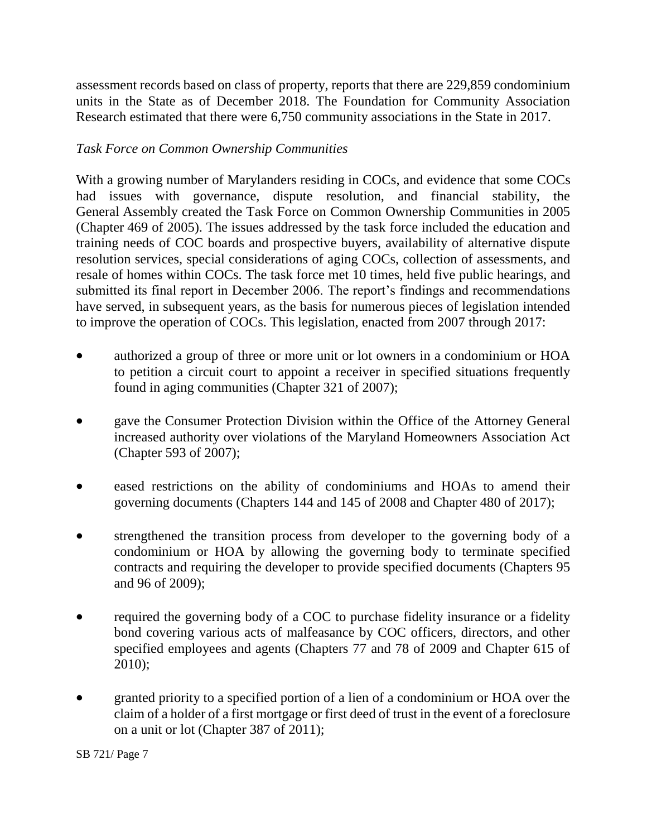assessment records based on class of property, reports that there are 229,859 condominium units in the State as of December 2018. The Foundation for Community Association Research estimated that there were 6,750 community associations in the State in 2017.

#### *Task Force on Common Ownership Communities*

With a growing number of Marylanders residing in COCs, and evidence that some COCs had issues with governance, dispute resolution, and financial stability, the General Assembly created the Task Force on Common Ownership Communities in 2005 (Chapter 469 of 2005). The issues addressed by the task force included the education and training needs of COC boards and prospective buyers, availability of alternative dispute resolution services, special considerations of aging COCs, collection of assessments, and resale of homes within COCs. The task force met 10 times, held five public hearings, and submitted its final report in December 2006. The report's findings and recommendations have served, in subsequent years, as the basis for numerous pieces of legislation intended to improve the operation of COCs. This legislation, enacted from 2007 through 2017:

- authorized a group of three or more unit or lot owners in a condominium or HOA to petition a circuit court to appoint a receiver in specified situations frequently found in aging communities (Chapter 321 of 2007);
- gave the Consumer Protection Division within the Office of the Attorney General increased authority over violations of the Maryland Homeowners Association Act (Chapter 593 of 2007);
- eased restrictions on the ability of condominiums and HOAs to amend their governing documents (Chapters 144 and 145 of 2008 and Chapter 480 of 2017);
- strengthened the transition process from developer to the governing body of a condominium or HOA by allowing the governing body to terminate specified contracts and requiring the developer to provide specified documents (Chapters 95 and 96 of 2009);
- required the governing body of a COC to purchase fidelity insurance or a fidelity bond covering various acts of malfeasance by COC officers, directors, and other specified employees and agents (Chapters 77 and 78 of 2009 and Chapter 615 of 2010);
- granted priority to a specified portion of a lien of a condominium or HOA over the claim of a holder of a first mortgage or first deed of trust in the event of a foreclosure on a unit or lot (Chapter 387 of 2011);